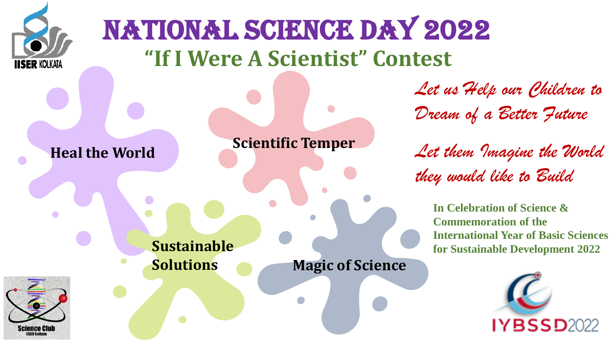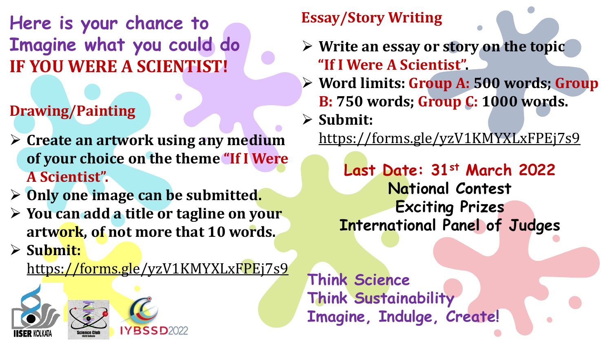**Here is your chance to Imagine what you could do IF YOU WERE A SCIENTIST!**

## **Drawing/Painting**

- ➢ **Create an artwork using any medium of your choice on the theme "If I Were A Scientist".**
- ➢ **Only one image can be submitted.**
- ➢ **You can add a title or tagline on your artwork, of not more that 10 words.**
- ➢ **Submit:**

<https://forms.gle/yzV1KMYXLxFPEj7s9>



## **Essay/Story Writing**

- ➢ **Write an essay or story on the topic "If I Were A Scientist".**
- ➢ **Word limits: Group A: 500 words; Group B: 750 words; Group C: 1000 words.**
- ➢ **Submit:**

<https://forms.gle/yzV1KMYXLxFPEj7s9>

**Last Date: 31st March 2022 National Contest Exciting Prizes International Panel of Judges**

**Think Science Think Sustainability Imagine, Indulge, Create!**